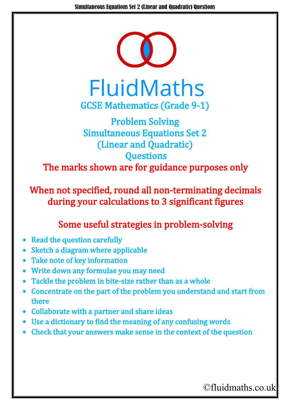

## **FluidMaths** GCSE Mathematics (Grade 9-1)

## Problem Solving Simultaneous Equations Set 2 (Linear and Quadratic) **Questions** The marks shown are for guidance purposes only

When not specified, round all non-terminating decimals during your calculations to 3 significant figures

## Some useful strategies in problem-solving

- Read the question carefully
- Sketch a diagram where applicable
- Take note of key information
- Write down any formulae you may need
- Tackle the problem in bite-size rather than as a whole
- Concentrate on the part of the problem you understand and start from there
- Collaborate with a partner and share ideas
- Use a dictionary to find the meaning of any confusing words
- Check that your answers make sense in the context of the question

©fluidmaths.co.uk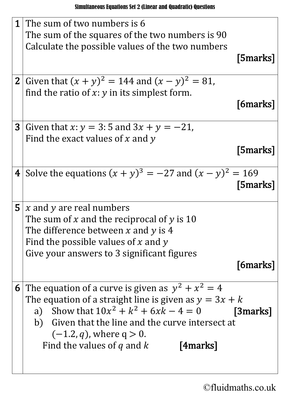| 1 | The sum of two numbers is 6<br>The sum of the squares of the two numbers is 90                                                                                                                                                                                                                              |
|---|-------------------------------------------------------------------------------------------------------------------------------------------------------------------------------------------------------------------------------------------------------------------------------------------------------------|
|   | Calculate the possible values of the two numbers<br>[5marks]                                                                                                                                                                                                                                                |
|   | <b>2</b> Given that $(x + y)^2 = 144$ and $(x - y)^2 = 81$ ,<br>find the ratio of $x: y$ in its simplest form.<br>[6marks]                                                                                                                                                                                  |
|   | <b>3</b> Given that $x: y = 3:5$ and $3x + y = -21$ ,<br>Find the exact values of x and y<br>[5marks]                                                                                                                                                                                                       |
|   | 4 Solve the equations $(x + y)^3 = -27$ and $(x - y)^2 = 169$<br>[5marks]                                                                                                                                                                                                                                   |
|   | <b>5</b> $\vert x \rangle$ and y are real numbers<br>The sum of x and the reciprocal of y is 10<br>The difference between $x$ and $y$ is 4<br>Find the possible values of $x$ and $y$<br>Give your answers to 3 significant figures                                                                         |
|   | [6marks]                                                                                                                                                                                                                                                                                                    |
|   | 6 The equation of a curve is given as $y^2 + x^2 = 4$<br>The equation of a straight line is given as $y = 3x + k$<br>a) Show that $10x^2 + k^2 + 6xk - 4 = 0$<br>[3marks]<br>b) Given that the line and the curve intersect at<br>$(-1.2, q)$ , where $q > 0$ .<br>Find the values of q and $k$<br>[4marks] |